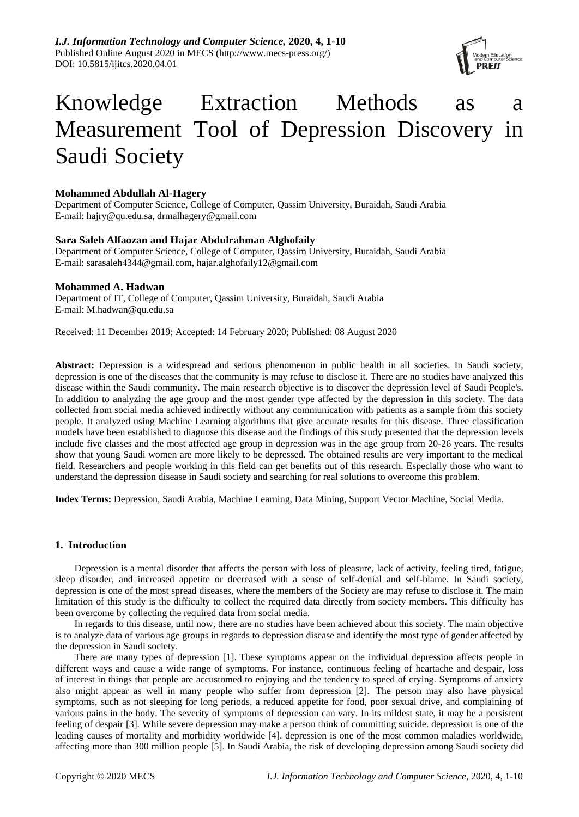

# Knowledge Extraction Methods as a Measurement Tool of Depression Discovery in Saudi Society

# **Mohammed Abdullah Al-Hagery**

Department of Computer Science, College of Computer, Qassim University, Buraidah, Saudi Arabia E-mail: hajry@qu.edu.sa, drmalhagery@gmail.com

# **Sara Saleh Alfaozan and Hajar Abdulrahman Alghofaily**

Department of Computer Science, College of Computer, Qassim University, Buraidah, Saudi Arabia E-mail: sarasaleh4344@gmail.com, hajar.alghofaily12@gmail.com

# **Mohammed A. Hadwan**

Department of IT, College of Computer, Qassim University, Buraidah, Saudi Arabia E-mail: M.hadwan@qu.edu.sa

Received: 11 December 2019; Accepted: 14 February 2020; Published: 08 August 2020

Abstract: Depression is a widespread and serious phenomenon in public health in all societies. In Saudi society, depression is one of the diseases that the community is may refuse to disclose it. There are no studies have analyzed this disease within the Saudi community. The main research objective is to discover the depression level of Saudi People's. In addition to analyzing the age group and the most gender type affected by the depression in this society. The data collected from social media achieved indirectly without any communication with patients as a sample from this society people. It analyzed using Machine Learning algorithms that give accurate results for this disease. Three classification models have been established to diagnose this disease and the findings of this study presented that the depression levels include five classes and the most affected age group in depression was in the age group from 20-26 years. The results show that young Saudi women are more likely to be depressed. The obtained results are very important to the medical field. Researchers and people working in this field can get benefits out of this research. Especially those who want to understand the depression disease in Saudi society and searching for real solutions to overcome this problem.

**Index Terms:** Depression, Saudi Arabia, Machine Learning, Data Mining, Support Vector Machine, Social Media.

# **1. Introduction**

Depression is a mental disorder that affects the person with loss of pleasure, lack of activity, feeling tired, fatigue, sleep disorder, and increased appetite or decreased with a sense of self-denial and self-blame. In Saudi society, depression is one of the most spread diseases, where the members of the Society are may refuse to disclose it. The main limitation of this study is the difficulty to collect the required data directly from society members. This difficulty has been overcome by collecting the required data from social media.

In regards to this disease, until now, there are no studies have been achieved about this society. The main objective is to analyze data of various age groups in regards to depression disease and identify the most type of gender affected by the depression in Saudi society.

There are many types of depression [1]. These symptoms appear on the individual depression affects people in different ways and cause a wide range of symptoms. For instance, continuous feeling of heartache and despair, loss of interest in things that people are accustomed to enjoying and the tendency to speed of crying. Symptoms of anxiety also might appear as well in many people who suffer from depression [2]. The person may also have physical symptoms, such as not sleeping for long periods, a reduced appetite for food, poor sexual drive, and complaining of various pains in the body. The severity of symptoms of depression can vary. In its mildest state, it may be a persistent feeling of despair [3]. While severe depression may make a person think of committing suicide. depression is one of the leading causes of mortality and morbidity worldwide [4]. depression is one of the most common maladies worldwide, affecting more than 300 million people [5]. In Saudi Arabia, the risk of developing depression among Saudi society did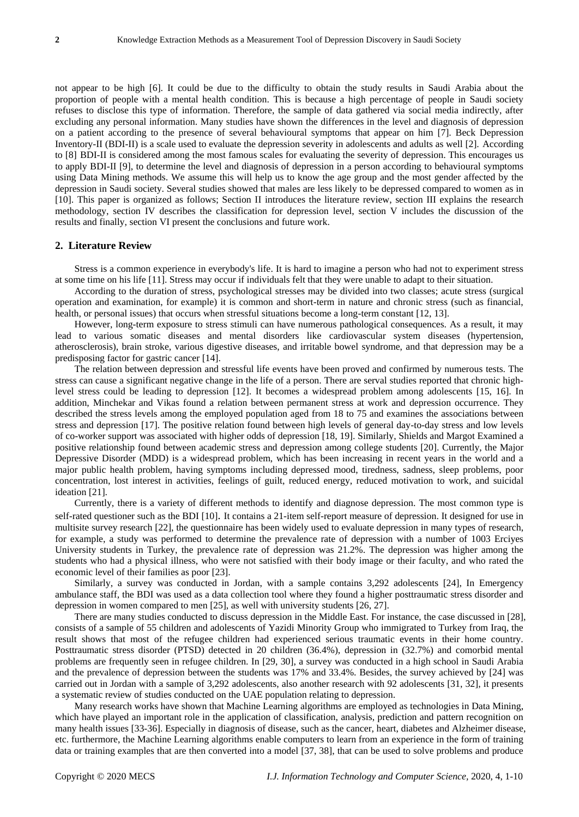not appear to be high [6]. It could be due to the difficulty to obtain the study results in Saudi Arabia about the proportion of people with a mental health condition. This is because a high percentage of people in Saudi society refuses to disclose this type of information. Therefore, the sample of data gathered via social media indirectly, after excluding any personal information. Many studies have shown the differences in the level and diagnosis of depression on a patient according to the presence of several behavioural symptoms that appear on him [7]. Beck Depression Inventory-II (BDI-II) is a scale used to evaluate the depression severity in adolescents and adults as well [2]. According to [8] BDI-II is considered among the most famous scales for evaluating the severity of depression. This encourages us to apply BDI-II [9], to determine the level and diagnosis of depression in a person according to behavioural symptoms using Data Mining methods. We assume this will help us to know the age group and the most gender affected by the depression in Saudi society. Several studies showed that males are less likely to be depressed compared to women as in [10]. This paper is organized as follows; Section II introduces the literature review, section III explains the research methodology, section IV describes the classification for depression level, section V includes the discussion of the results and finally, section VI present the conclusions and future work.

#### **2. Literature Review**

Stress is a common experience in everybody's life. It is hard to imagine a person who had not to experiment stress at some time on his life [11]. Stress may occur if individuals felt that they were unable to adapt to their situation.

According to the duration of stress, psychological stresses may be divided into two classes; acute stress (surgical operation and examination, for example) it is common and short-term in nature and chronic stress (such as financial, health, or personal issues) that occurs when stressful situations become a long-term constant [12, 13].

However, long-term exposure to stress stimuli can have numerous pathological consequences. As a result, it may lead to various somatic diseases and mental disorders like cardiovascular system diseases (hypertension, atherosclerosis), brain stroke, various digestive diseases, and irritable bowel syndrome, and that depression may be a predisposing factor for gastric cancer [14].

The relation between depression and stressful life events have been proved and confirmed by numerous tests. The stress can cause a significant negative change in the life of a person. There are serval studies reported that chronic highlevel stress could be leading to depression [12]. It becomes a widespread problem among adolescents [15, 16]. In addition, Minchekar and Vikas found a relation between permanent stress at work and depression occurrence. They described the stress levels among the employed population aged from 18 to 75 and examines the associations between stress and depression [17]. The positive relation found between high levels of general day-to-day stress and low levels of co-worker support was associated with higher odds of depression [18, 19]. Similarly, Shields and Margot Examined a positive relationship found between academic stress and depression among college students [20]. Currently, the Major Depressive Disorder (MDD) is a widespread problem, which has been increasing in recent years in the world and a major public health problem, having symptoms including depressed mood, tiredness, sadness, sleep problems, poor concentration, lost interest in activities, feelings of guilt, reduced energy, reduced motivation to work, and suicidal ideation [21].

Currently, there is a variety of different methods to identify and diagnose depression. The most common type is self-rated questioner such as the BDI [10]. It contains a 21-item self-report measure of depression. It designed for use in multisite survey research [22], the questionnaire has been widely used to evaluate depression in many types of research, for example, a study was performed to determine the prevalence rate of depression with a number of 1003 Erciyes University students in Turkey, the prevalence rate of depression was 21.2%. The depression was higher among the students who had a physical illness, who were not satisfied with their body image or their faculty, and who rated the economic level of their families as poor [23].

Similarly, a survey was conducted in Jordan, with a sample contains 3,292 adolescents [24], In Emergency ambulance staff, the BDI was used as a data collection tool where they found a higher posttraumatic stress disorder and depression in women compared to men [25], as well with university students [26, 27].

There are many studies conducted to discuss depression in the Middle East. For instance, the case discussed in [28], consists of a sample of 55 children and adolescents of Yazidi Minority Group who immigrated to Turkey from Iraq, the result shows that most of the refugee children had experienced serious traumatic events in their home country. Posttraumatic stress disorder (PTSD) detected in 20 children (36.4%), depression in (32.7%) and comorbid mental problems are frequently seen in refugee children. In [29, 30], a survey was conducted in a high school in Saudi Arabia and the prevalence of depression between the students was 17% and 33.4%. Besides, the survey achieved by [24] was carried out in Jordan with a sample of 3,292 adolescents, also another research with 92 adolescents [31, 32], it presents a systematic review of studies conducted on the UAE population relating to depression.

Many research works have shown that Machine Learning algorithms are employed as technologies in Data Mining, which have played an important role in the application of classification, analysis, prediction and pattern recognition on many health issues [33-36]. Especially in diagnosis of disease, such as the cancer, heart, diabetes and Alzheimer disease, etc. furthermore, the Machine Learning algorithms enable computers to learn from an experience in the form of training data or training examples that are then converted into a model [37, 38], that can be used to solve problems and produce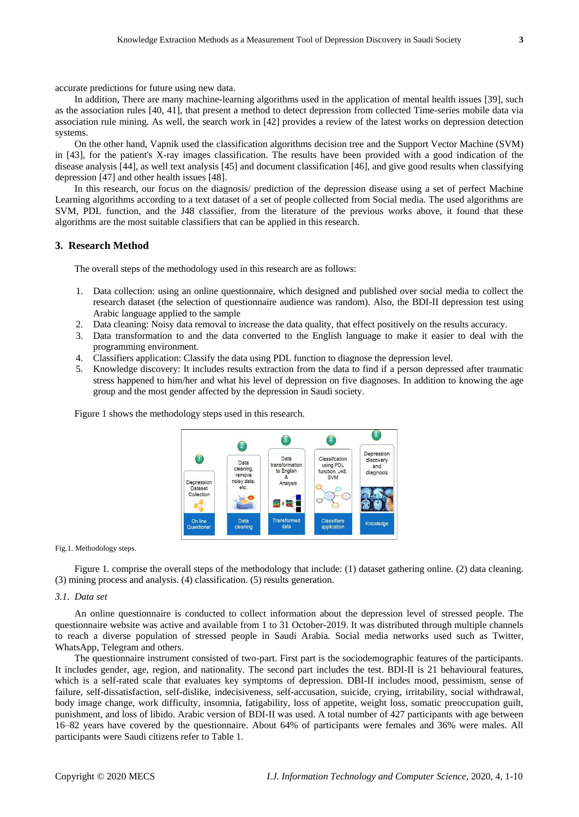accurate predictions for future using new data.

In addition, There are many machine-learning algorithms used in the application of mental health issues [39], such as the association rules [40, 41], that present a method to detect depression from collected Time-series mobile data via association rule mining. As well, the search work in [42] provides a review of the latest works on depression detection systems.

On the other hand, Vapnik used the classification algorithms decision tree and the Support Vector Machine (SVM) in [43], for the patient's X-ray images classification. The results have been provided with a good indication of the disease analysis [44], as well text analysis [45] and document classification [46], and give good results when classifying depression [47] and other health issues [48].

In this research, our focus on the diagnosis/ prediction of the depression disease using a set of perfect Machine Learning algorithms according to a text dataset of a set of people collected from Social media. The used algorithms are SVM, PDL function, and the J48 classifier, from the literature of the previous works above, it found that these algorithms are the most suitable classifiers that can be applied in this research.

#### **3. Research Method**

The overall steps of the methodology used in this research are as follows:

- 1. Data collection: using an online questionnaire, which designed and published over social media to collect the research dataset (the selection of questionnaire audience was random). Also, the BDI-II depression test using Arabic language applied to the sample
- 2. Data cleaning: Noisy data removal to increase the data quality, that effect positively on the results accuracy.
- 3. Data transformation to and the data converted to the English language to make it easier to deal with the programming environment.
- 4. Classifiers application: Classify the data using PDL function to diagnose the depression level.
- 5. Knowledge discovery: It includes results extraction from the data to find if a person depressed after traumatic stress happened to him/her and what his level of depression on five diagnoses. In addition to knowing the age group and the most gender affected by the depression in Saudi society.

Figure 1 shows the methodology steps used in this research.



Fig.1. Methodology steps.

Figure 1. comprise the overall steps of the methodology that include: (1) dataset gathering online. (2) data cleaning. (3) mining process and analysis. (4) classification. (5) results generation.

#### *3.1. Data set*

An online questionnaire is conducted to collect information about the depression level of stressed people. The questionnaire website was active and available from 1 to 31 October-2019. It was distributed through multiple channels to reach a diverse population of stressed people in Saudi Arabia. Social media networks used such as Twitter, WhatsApp, Telegram and others.

The questionnaire instrument consisted of two-part. First part is the sociodemographic features of the participants. It includes gender, age, region, and nationality. The second part includes the test. BDI-II is 21 behavioural features, which is a self-rated scale that evaluates key symptoms of depression. DBI-II includes mood, pessimism, sense of failure, self-dissatisfaction, self-dislike, indecisiveness, self-accusation, suicide, crying, irritability, social withdrawal, body image change, work difficulty, insomnia, fatigability, loss of appetite, weight loss, somatic preoccupation guilt, punishment, and loss of libido. Arabic version of BDI-II was used. A total number of 427 participants with age between 16–82 years have covered by the questionnaire. About 64% of participants were females and 36% were males. All participants were Saudi citizens refer to Table 1.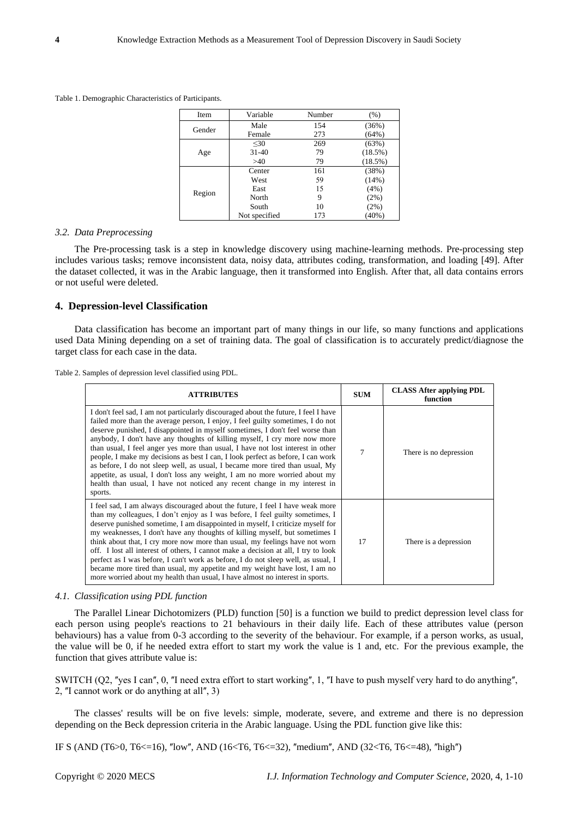Table 1. Demographic Characteristics of Participants.

| Item   | Variable      | Number                                  | (% )     |
|--------|---------------|-----------------------------------------|----------|
|        | Male          | 154                                     | (36%)    |
| Gender | Female        | 273                                     | (64%)    |
|        | $30$          | 269                                     | (63%)    |
| Age    | $31 - 40$     | 79                                      | (18.5%)  |
|        | >40           | 79<br>161<br>59<br>15<br>9<br>10<br>173 | (18.5%)  |
|        | Center        |                                         | (38%)    |
|        | West          |                                         | (14%)    |
|        | East          |                                         | (4%)     |
| Region | North         |                                         | (2%)     |
|        | South         |                                         | (2%)     |
|        | Not specified |                                         | $(40\%)$ |

#### *3.2. Data Preprocessing*

The Pre-processing task is a step in knowledge discovery using machine-learning methods. Pre-processing step includes various tasks; remove inconsistent data, noisy data, attributes coding, transformation, and loading [49]. After the dataset collected, it was in the Arabic language, then it transformed into English. After that, all data contains errors or not useful were deleted.

#### **4. Depression-level Classification**

Data classification has become an important part of many things in our life, so many functions and applications used Data Mining depending on a set of training data. The goal of classification is to accurately predict/diagnose the target class for each case in the data.

Table 2. Samples of depression level classified using PDL.

| <b>ATTRIBUTES</b>                                                                                                                                                                                                                                                                                                                                                                                                                                                                                                                                                                                                                                                                                                                                                | <b>SUM</b> | <b>CLASS After applying PDL</b><br>function |
|------------------------------------------------------------------------------------------------------------------------------------------------------------------------------------------------------------------------------------------------------------------------------------------------------------------------------------------------------------------------------------------------------------------------------------------------------------------------------------------------------------------------------------------------------------------------------------------------------------------------------------------------------------------------------------------------------------------------------------------------------------------|------------|---------------------------------------------|
| I don't feel sad, I am not particularly discouraged about the future, I feel I have<br>failed more than the average person, I enjoy, I feel guilty sometimes, I do not<br>deserve punished, I disappointed in myself sometimes, I don't feel worse than<br>anybody, I don't have any thoughts of killing myself, I cry more now more<br>than usual, I feel anger yes more than usual, I have not lost interest in other<br>people, I make my decisions as best I can, I look perfect as before, I can work<br>as before, I do not sleep well, as usual, I became more tired than usual, My<br>appetite, as usual, I don't loss any weight, I am no more worried about my<br>health than usual, I have not noticed any recent change in my interest in<br>sports. | 7          | There is no depression                      |
| I feel sad, I am always discouraged about the future, I feel I have weak more<br>than my colleagues, I don't enjoy as I was before, I feel guilty sometimes, I<br>deserve punished sometime, I am disappointed in myself, I criticize myself for<br>my weaknesses, I don't have any thoughts of killing myself, but sometimes I<br>think about that, I cry more now more than usual, my feelings have not worn<br>off. I lost all interest of others, I cannot make a decision at all, I try to look<br>perfect as I was before, I can't work as before, I do not sleep well, as usual, I<br>became more tired than usual, my appetite and my weight have lost, I am no<br>more worried about my health than usual, I have almost no interest in sports.         | 17         | There is a depression                       |

#### *4.1. Classification using PDL function*

The Parallel Linear Dichotomizers (PLD) function [50] is a function we build to predict depression level class for each person using people's reactions to 21 behaviours in their daily life. Each of these attributes value (person behaviours) has a value from 0-3 according to the severity of the behaviour. For example, if a person works, as usual, the value will be 0, if he needed extra effort to start my work the value is 1 and, etc. For the previous example, the function that gives attribute value is:

SWITCH (Q2, "yes I can", 0, "I need extra effort to start working", 1, "I have to push myself very hard to do anything", 2,  $\alpha$ I cannot work or do anything at all $\alpha$ , 3)

The classes' results will be on five levels: simple, moderate, severe, and extreme and there is no depression depending on the Beck depression criteria in the Arabic language. Using the PDL function give like this:

IF S (AND (T6>0, T6<=16), "low", AND (16<T6, T6<=32), "medium", AND (32<T6, T6<=48), "high")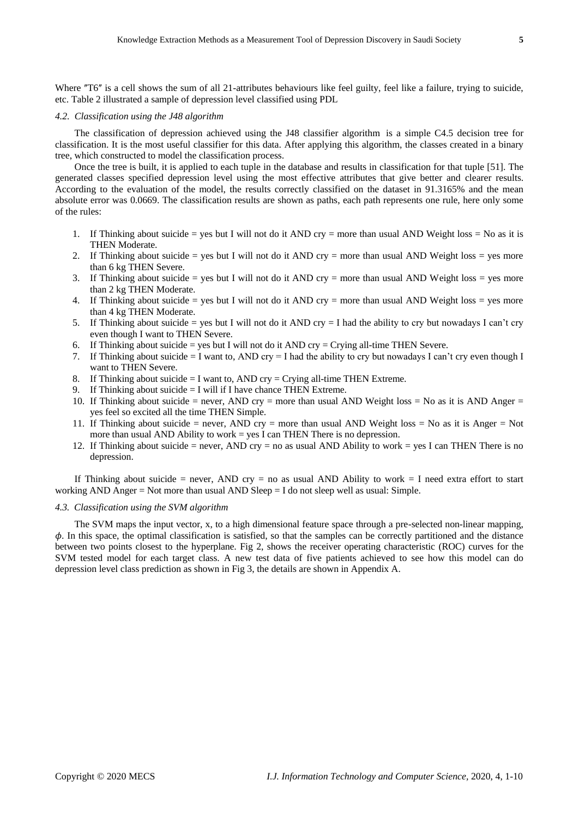Where "T6" is a cell shows the sum of all 21-attributes behaviours like feel guilty, feel like a failure, trying to suicide, etc. Table 2 illustrated a sample of depression level classified using PDL

#### *4.2. Classification using the J48 algorithm*

The classification of depression achieved using the J48 classifier algorithm is a simple C4.5 decision tree for classification. It is the most useful classifier for this data. After applying this algorithm, the classes created in a binary tree, which constructed to model the classification process.

Once the tree is built, it is applied to each tuple in the database and results in classification for that tuple [51]. The generated classes specified depression level using the most effective attributes that give better and clearer results. According to the evaluation of the model, the results correctly classified on the dataset in 91.3165% and the mean absolute error was 0.0669. The classification results are shown as paths, each path represents one rule, here only some of the rules:

- 1. If Thinking about suicide = yes but I will not do it AND cry = more than usual AND Weight loss = No as it is THEN Moderate.
- 2. If Thinking about suicide = yes but I will not do it AND cry = more than usual AND Weight loss = yes more than 6 kg THEN Severe.
- 3. If Thinking about suicide = yes but I will not do it AND cry = more than usual AND Weight loss = yes more than 2 kg THEN Moderate.
- 4. If Thinking about suicide = yes but I will not do it AND cry = more than usual AND Weight loss = yes more than 4 kg THEN Moderate.
- 5. If Thinking about suicide = yes but I will not do it AND cry = I had the ability to cry but nowadays I can't cry even though I want to THEN Severe.
- 6. If Thinking about suicide = yes but I will not do it AND cry = Crying all-time THEN Severe.
- 7. If Thinking about suicide = I want to, AND cry = I had the ability to cry but nowadays I can't cry even though I want to THEN Severe.
- 8. If Thinking about suicide  $= I$  want to, AND cry  $=$  Crying all-time THEN Extreme.
- 9. If Thinking about suicide  $= I$  will if I have chance THEN Extreme.
- 10. If Thinking about suicide = never, AND cry = more than usual AND Weight loss = No as it is AND Anger = yes feel so excited all the time THEN Simple.
- 11. If Thinking about suicide = never, AND cry = more than usual AND Weight loss = No as it is Anger = Not more than usual AND Ability to work = yes I can THEN There is no depression.
- 12. If Thinking about suicide = never, AND cry = no as usual AND Ability to work = yes I can THEN There is no depression.

If Thinking about suicide = never, AND cry = no as usual AND Ability to work = I need extra effort to start working AND Anger  $=$  Not more than usual AND Sleep  $=$  I do not sleep well as usual: Simple.

#### *4.3. Classification using the SVM algorithm*

The SVM maps the input vector, x, to a high dimensional feature space through a pre-selected non-linear mapping,  $\phi$ . In this space, the optimal classification is satisfied, so that the samples can be correctly partitioned and the distance between two points closest to the hyperplane. Fig 2, shows the receiver operating characteristic (ROC) curves for the SVM tested model for each target class. A new test data of five patients achieved to see how this model can do depression level class prediction as shown in Fig 3, the details are shown in Appendix A.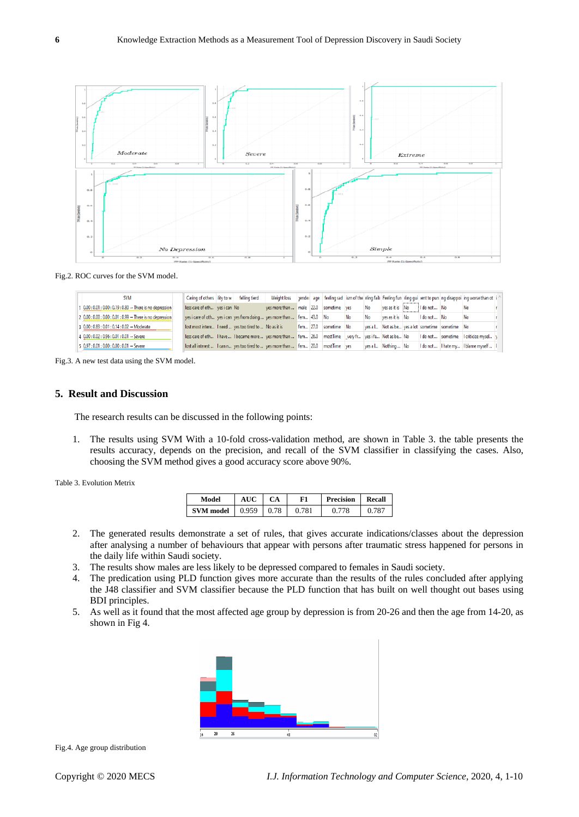

Fig.2. ROC curves for the SVM model.

| <b>SVM</b>                                                                      | Caring of others lity to w                                                                              | felling tierd | Weight loss                           |          |             |    |     |                     |              |                                                  | aender age feeling sad ism of the eling faily Feeling fun eling qui rent to pun ng disappoi ing worse than ot i |  |
|---------------------------------------------------------------------------------|---------------------------------------------------------------------------------------------------------|---------------|---------------------------------------|----------|-------------|----|-----|---------------------|--------------|--------------------------------------------------|-----------------------------------------------------------------------------------------------------------------|--|
| $0.00$ : $0.01$ : $0.00$ : $0.19$ : $0.80$ $\rightarrow$ There is no depression | less care of oth ves i can No                                                                           |               | ves more than  male 22.0 sometime ves |          |             |    | No  | ves as it is No     | I do not  No |                                                  | - No                                                                                                            |  |
| 2 0.00 : 0.00 : 0.00 : 0.01 : 0.99 → There is no depression                     | yes i care of oth yes i can yes from doing  yes more than  fem 43.0 No                                  |               |                                       |          |             | No | No. | ves as it is No     | I do not  No |                                                  | - No                                                                                                            |  |
| 3 0.00 : 0.83 : 0.01 : 0.14 : 0.02 → Moderate                                   | lost most intere I need  yes too tired to  No as it is                                                  |               |                                       | fem 27.0 | sometime No |    |     |                     |              | yes a l Not as be yes a lot sometime sometime No |                                                                                                                 |  |
| $4$ 0.00 : 0.02 : 0.96 : 0.01 : 0.01 $\rightarrow$ Severe                       | less care of oth I have  I became more  yes more than  fem 26.0 most Time very fr yes i fa Not as be No |               |                                       |          |             |    |     |                     |              | I do not  sometime                               | I criticize mysel                                                                                               |  |
| $5   0.97 : 0.01 : 0.00 : 0.00 : 0.01 \rightarrow$ Severe                       | lost all interest  I can n yes too tired to  yes more than  fem 20.0 most Time ves                      |               |                                       |          |             |    |     | yes a l Nothing  No |              |                                                  | I do not  I hate my I blame myself  I                                                                           |  |

Fig.3. A new test data using the SVM model.

# **5. Result and Discussion**

The research results can be discussed in the following points:

1. The results using SVM With a 10-fold cross-validation method, are shown in Table 3. the table presents the results accuracy, depends on the precision, and recall of the SVM classifier in classifying the cases. Also, choosing the SVM method gives a good accuracy score above 90%.

| Table 3. Evolution Metrix |  |  |  |
|---------------------------|--|--|--|
|---------------------------|--|--|--|

| Model            |       | СA   | F1  | <b>Precision</b> | Recall |  |
|------------------|-------|------|-----|------------------|--------|--|
| <b>SVM</b> model | 0.959 | 0.78 | 781 | 78               |        |  |

- 2. The generated results demonstrate a set of rules, that gives accurate indications/classes about the depression after analysing a number of behaviours that appear with persons after traumatic stress happened for persons in the daily life within Saudi society.
- 3. The results show males are less likely to be depressed compared to females in Saudi society.
- 4. The predication using PLD function gives more accurate than the results of the rules concluded after applying the J48 classifier and SVM classifier because the PLD function that has built on well thought out bases using BDI principles.
- 5. As well as it found that the most affected age group by depression is from 20-26 and then the age from 14-20, as shown in Fig 4.



Fig.4. Age group distribution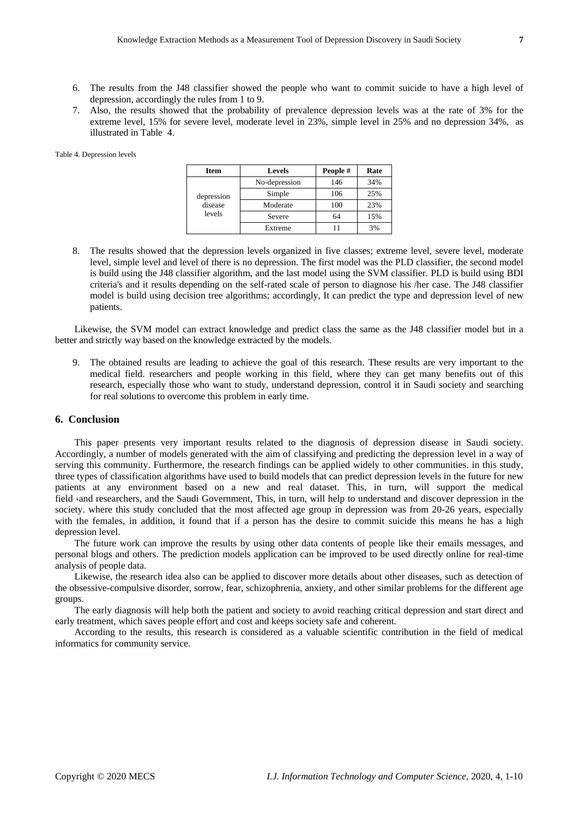- 6. The results from the J48 classifier showed the people who want to commit suicide to have a high level of depression, accordingly the rules from 1 to 9.
- 7. Also, the results showed that the probability of prevalence depression levels was at the rate of 3% for the extreme level, 15% for severe level, moderate level in 23%, simple level in 25% and no depression 34%, as illustrated in Table 4.

Table 4. Depression levels

| Item       | <b>Levels</b> | People# | Rate |
|------------|---------------|---------|------|
|            | No-depression | 146     | 34%  |
| depression | Simple        | 106     | 25%  |
| disease    | Moderate      | 100     | 23%  |
| levels     | Severe        | 64      | 15%  |
|            | Extreme       |         | 3%   |

8. The results showed that the depression levels organized in five classes; extreme level, severe level, moderate level, simple level and level of there is no depression. The first model was the PLD classifier, the second model is build using the J48 classifier algorithm, and the last model using the SVM classifier. PLD is build using BDI criteria's and it results depending on the self-rated scale of person to diagnose his /her case. The J48 classifier model is build using decision tree algorithms; accordingly, It can predict the type and depression level of new patients.

Likewise, the SVM model can extract knowledge and predict class the same as the J48 classifier model but in a better and strictly way based on the knowledge extracted by the models.

9. The obtained results are leading to achieve the goal of this research. These results are very important to the medical field. researchers and people working in this field, where they can get many benefits out of this research, especially those who want to study, understand depression, control it in Saudi society and searching for real solutions to overcome this problem in early time.

# **6. Conclusion**

This paper presents very important results related to the diagnosis of depression disease in Saudi society. Accordingly, a number of models generated with the aim of classifying and predicting the depression level in a way of serving this community. Furthermore, the research findings can be applied widely to other communities. in this study, three types of classification algorithms have used to build models that can predict depression levels in the future for new patients at any environment based on a new and real dataset. This, in turn, will support the medical field  $\cdot$ and researchers, and the Saudi Government, This, in turn, will help to understand and discover depression in the society. where this study concluded that the most affected age group in depression was from 20-26 years, especially with the females, in addition, it found that if a person has the desire to commit suicide this means he has a high depression level.

The future work can improve the results by using other data contents of people like their emails messages, and personal blogs and others. The prediction models application can be improved to be used directly online for real-time analysis of people data.

Likewise, the research idea also can be applied to discover more details about other diseases, such as detection of the obsessive-compulsive disorder, sorrow, fear, schizophrenia, anxiety, and other similar problems for the different age groups.

The early diagnosis will help both the patient and society to avoid reaching critical depression and start direct and early treatment, which saves people effort and cost and keeps society safe and coherent.

According to the results, this research is considered as a valuable scientific contribution in the field of medical informatics for community service.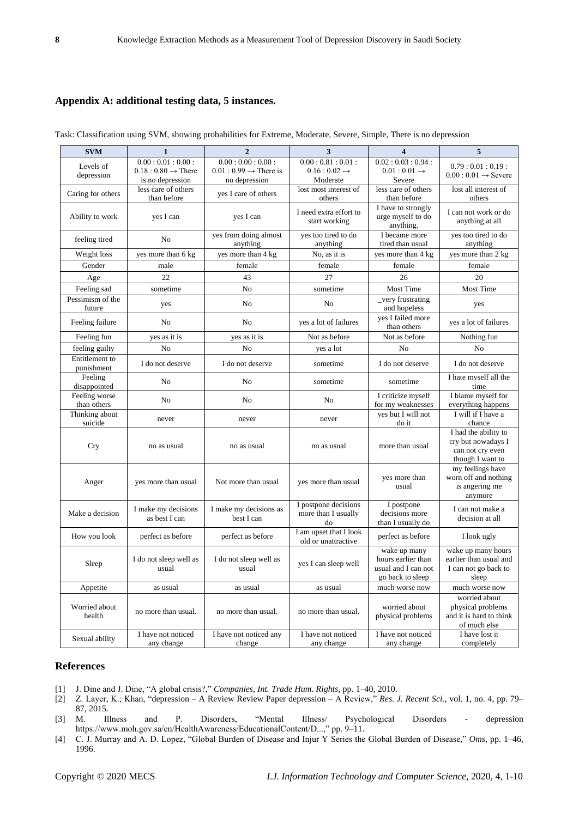# **Appendix A: additional testing data, 5 instances.**

| <b>SVM</b>                   | $\mathbf{1}$                            | $\overline{2}$                       | 3                                                 | $\overline{\mathbf{4}}$                                                       | 5                                                                                  |
|------------------------------|-----------------------------------------|--------------------------------------|---------------------------------------------------|-------------------------------------------------------------------------------|------------------------------------------------------------------------------------|
| Levels of                    | 0.00:0.01:0.00:                         | 0.00:0.00:0.00:                      | 0.00:0.81:0.01:                                   | 0.02:0.03:0.94:                                                               | 0.79:0.01:0.19:                                                                    |
| depression                   | $0.18:0.80 \rightarrow$ There           | $0.01: 0.99 \rightarrow$ There is    | $0.16:0.02 \rightarrow$                           | $0.01:0.01 \rightarrow$                                                       | $0.00:0.01 \rightarrow$ Severe                                                     |
|                              | is no depression<br>less care of others | no depression                        | Moderate<br>lost most interest of                 | Severe<br>less care of others                                                 | lost all interest of                                                               |
| Caring for others            | than before                             | yes I care of others                 | others                                            | than before                                                                   | others                                                                             |
| Ability to work              | yes I can                               | yes I can                            | I need extra effort to<br>start working           | I have to strongly<br>urge myself to do<br>anything.                          | I can not work or do<br>anything at all                                            |
| feeling tired                | No                                      | yes from doing almost<br>anything    | yes too tired to do<br>anything                   | I became more<br>tired than usual                                             | yes too tired to do<br>anything                                                    |
| Weight loss                  | yes more than 6 kg                      | yes more than 4 kg                   | No, as it is                                      | yes more than 4 kg                                                            | yes more than 2 kg                                                                 |
| Gender                       | male                                    | female                               | female                                            | female                                                                        | female                                                                             |
| Age                          | 22                                      | 43                                   | 27                                                | 26                                                                            | 20                                                                                 |
| Feeling sad                  | sometime                                | N <sub>o</sub>                       | sometime                                          | Most Time                                                                     | <b>Most Time</b>                                                                   |
| Pessimism of the<br>future   | yes                                     | No                                   | N <sub>0</sub>                                    | _very frustrating<br>and hopeless                                             | yes                                                                                |
| Feeling failure              | No                                      | No                                   | yes a lot of failures                             | yes I failed more<br>than others                                              | yes a lot of failures                                                              |
| Feeling fun                  | yes as it is                            | yes as it is                         | Not as before                                     | Not as before                                                                 | Nothing fun                                                                        |
| feeling guilty               | No                                      | N <sub>0</sub>                       | yes a lot                                         | N <sub>0</sub>                                                                | No                                                                                 |
| Entitlement to<br>punishment | I do not deserve                        | I do not deserve                     | sometime                                          | I do not deserve                                                              | I do not deserve                                                                   |
| Feeling<br>disappointed      | N <sub>0</sub>                          | N <sub>0</sub>                       | sometime                                          | sometime                                                                      | I hate myself all the<br>time                                                      |
| Feeling worse<br>than others | N <sub>o</sub>                          | No                                   | N <sub>0</sub>                                    | I criticize myself<br>for my weaknesses                                       | I blame myself for<br>everything happens                                           |
| Thinking about<br>suicide    | never                                   | never                                | never                                             | yes but I will not<br>do it                                                   | I will if I have a<br>chance                                                       |
| Cry                          | no as usual                             | no as usual                          | no as usual                                       | more than usual                                                               | I had the ability to<br>cry but nowadays I<br>can not cry even<br>though I want to |
| Anger                        | yes more than usual                     | Not more than usual                  | yes more than usual                               | yes more than<br>usual                                                        | my feelings have<br>worn off and nothing<br>is angering me<br>anymore              |
| Make a decision              | I make my decisions<br>as best I can    | I make my decisions as<br>best I can | I postpone decisions<br>more than I usually<br>do | I postpone<br>decisions more<br>than I usually do                             | I can not make a<br>decision at all                                                |
| How you look                 | perfect as before                       | perfect as before                    | I am upset that I look<br>old or unattractive     | perfect as before                                                             | I look ugly                                                                        |
| Sleep                        | I do not sleep well as<br>usual         | I do not sleep well as<br>usual      | yes I can sleep well                              | wake up many<br>hours earlier than<br>usual and I can not<br>go back to sleep | wake up many hours<br>earlier than usual and<br>I can not go back to<br>sleep      |
| Appetite                     | as usual                                | as usual                             | as usual                                          | much worse now                                                                | much worse now                                                                     |
| Worried about<br>health      | no more than usual.                     | no more than usual.                  | no more than usual.                               | worried about<br>physical problems                                            | worried about<br>physical problems<br>and it is hard to think<br>of much else      |
| Sexual ability               | I have not noticed<br>any change        | I have not noticed any<br>change     | I have not noticed<br>any change                  | I have not noticed<br>any change                                              | I have lost it<br>completely                                                       |

Task: Classification using SVM, showing probabilities for Extreme, Moderate, Severe, Simple, There is no depression

### **References**

- [1] J. Dine and J. Dine, "A global crisis?," *Companies, Int. Trade Hum. Rights*, pp. 1–40, 2010.
- [2] Z. Layer, K.; Khan, "depression A Review Review Paper depression A Review," *Res. J. Recent Sci.*, vol. 1, no. 4, pp. 79– 87, 2015.
- [3] M. Illness and P. Disorders, "Mental Illness/ Psychological Disorders depression https://www.moh.gov.sa/en/HealthAwareness/EducationalContent/D...," pp. 9–11.
- [4] C. J. Murray and A. D. Lopez, "Global Burden of Disease and Injur Y Series the Global Burden of Disease," *Oms*, pp. 1–46, 1996.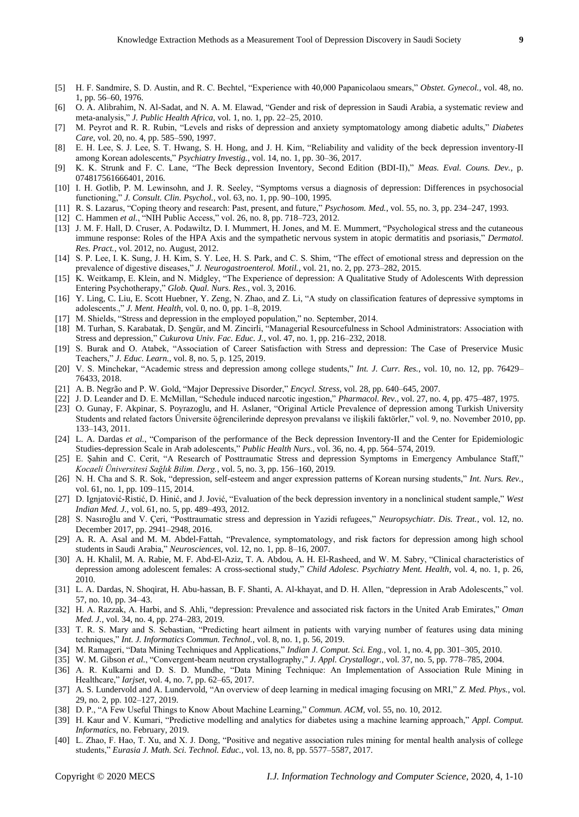- [5] H. F. Sandmire, S. D. Austin, and R. C. Bechtel, "Experience with 40,000 Papanicolaou smears," *Obstet. Gynecol.*, vol. 48, no. 1, pp. 56–60, 1976.
- [6] O. A. Alibrahim, N. Al-Sadat, and N. A. M. Elawad, "Gender and risk of depression in Saudi Arabia, a systematic review and meta-analysis," *J. Public Health Africa*, vol. 1, no. 1, pp. 22–25, 2010.
- [7] M. Peyrot and R. R. Rubin, "Levels and risks of depression and anxiety symptomatology among diabetic adults," *Diabetes Care*, vol. 20, no. 4, pp. 585–590, 1997.
- [8] E. H. Lee, S. J. Lee, S. T. Hwang, S. H. Hong, and J. H. Kim, "Reliability and validity of the beck depression inventory-II among Korean adolescents," *Psychiatry Investig.*, vol. 14, no. 1, pp. 30–36, 2017.
- [9] K. K. Strunk and F. C. Lane, "The Beck depression Inventory, Second Edition (BDI-II)," *Meas. Eval. Couns. Dev.*, p. 074817561666401, 2016.
- [10] I. H. Gotlib, P. M. Lewinsohn, and J. R. Seeley, "Symptoms versus a diagnosis of depression: Differences in psychosocial functioning," *J. Consult. Clin. Psychol.*, vol. 63, no. 1, pp. 90–100, 1995.
- [11] R. S. Lazarus, "Coping theory and research: Past, present, and future," *Psychosom. Med.*, vol. 55, no. 3, pp. 234–247, 1993.
- [12] C. Hammen *et al.*, "NIH Public Access," vol. 26, no. 8, pp. 718–723, 2012.
- [13] J. M. F. Hall, D. Cruser, A. Podawiltz, D. I. Mummert, H. Jones, and M. E. Mummert, "Psychological stress and the cutaneous immune response: Roles of the HPA Axis and the sympathetic nervous system in atopic dermatitis and psoriasis," *Dermatol. Res. Pract.*, vol. 2012, no. August, 2012.
- [14] S. P. Lee, I. K. Sung, J. H. Kim, S. Y. Lee, H. S. Park, and C. S. Shim, "The effect of emotional stress and depression on the prevalence of digestive diseases," *J. Neurogastroenterol. Motil.*, vol. 21, no. 2, pp. 273–282, 2015.
- [15] K. Weitkamp, E. Klein, and N. Midgley, "The Experience of depression: A Qualitative Study of Adolescents With depression Entering Psychotherapy," *Glob. Qual. Nurs. Res.*, vol. 3, 2016.
- [16] Y. Ling, C. Liu, E. Scott Huebner, Y. Zeng, N. Zhao, and Z. Li, "A study on classification features of depressive symptoms in adolescents.," *J. Ment. Health*, vol. 0, no. 0, pp. 1–8, 2019.
- [17] M. Shields, "Stress and depression in the employed population," no. September, 2014.
- [18] M. Turhan, S. Karabatak, D. Şengür, and M. Zincirli, "Managerial Resourcefulness in School Administrators: Association with Stress and depression," *Cukurova Univ. Fac. Educ. J.*, vol. 47, no. 1, pp. 216–232, 2018.
- [19] S. Burak and O. Atabek, "Association of Career Satisfaction with Stress and depression: The Case of Preservice Music Teachers," *J. Educ. Learn.*, vol. 8, no. 5, p. 125, 2019.
- [20] V. S. Minchekar, "Academic stress and depression among college students," *Int. J. Curr. Res.*, vol. 10, no. 12, pp. 76429– 76433, 2018.
- [21] A. B. Negrão and P. W. Gold, "Major Depressive Disorder," *Encycl. Stress*, vol. 28, pp. 640–645, 2007.
- [22] J. D. Leander and D. E. McMillan, "Schedule induced narcotic ingestion," *Pharmacol. Rev.*, vol. 27, no. 4, pp. 475–487, 1975.
- [23] O. Gunay, F. Akpinar, S. Poyrazoglu, and H. Aslaner, "Original Article Prevalence of depression among Turkish University Students and related factors Üniversite öğrencilerinde depresyon prevalansı ve ilişkili faktörler," vol. 9, no. November 2010, pp. 133–143, 2011.
- [24] L. A. Dardas *et al.*, "Comparison of the performance of the Beck depression Inventory-II and the Center for Epidemiologic Studies-depression Scale in Arab adolescents," *Public Health Nurs.*, vol. 36, no. 4, pp. 564–574, 2019.
- [25] E. Şahin and C. Cerit, "A Research of Posttraumatic Stress and depression Symptoms in Emergency Ambulance Staff," *Kocaeli Üniversitesi Sağlık Bilim. Derg.*, vol. 5, no. 3, pp. 156–160, 2019.
- [26] N. H. Cha and S. R. Sok, "depression, self-esteem and anger expression patterns of Korean nursing students," *Int. Nurs. Rev.*, vol. 61, no. 1, pp. 109–115, 2014.
- [27] D. Ignjatović-Ristić, D. Hinić, and J. Jović, "Evaluation of the beck depression inventory in a nonclinical student sample," *West Indian Med. J.*, vol. 61, no. 5, pp. 489–493, 2012.
- [28] S. Nasıroğlu and V. Çeri, "Posttraumatic stress and depression in Yazidi refugees," *Neuropsychiatr. Dis. Treat.*, vol. 12, no. December 2017, pp. 2941–2948, 2016.
- [29] A. R. A. Asal and M. M. Abdel-Fattah, "Prevalence, symptomatology, and risk factors for depression among high school students in Saudi Arabia," *Neurosciences*, vol. 12, no. 1, pp. 8–16, 2007.
- [30] A. H. Khalil, M. A. Rabie, M. F. Abd-El-Aziz, T. A. Abdou, A. H. El-Rasheed, and W. M. Sabry, "Clinical characteristics of depression among adolescent females: A cross-sectional study," *Child Adolesc. Psychiatry Ment. Health*, vol. 4, no. 1, p. 26, 2010.
- [31] L. A. Dardas, N. Shoqirat, H. Abu-hassan, B. F. Shanti, A. Al-khayat, and D. H. Allen, "depression in Arab Adolescents," vol. 57, no. 10, pp. 34–43.
- [32] H. A. Razzak, A. Harbi, and S. Ahli, "depression: Prevalence and associated risk factors in the United Arab Emirates," *Oman Med. J.*, vol. 34, no. 4, pp. 274–283, 2019.
- [33] T. R. S. Mary and S. Sebastian, "Predicting heart ailment in patients with varying number of features using data mining techniques," *Int. J. Informatics Commun. Technol.*, vol. 8, no. 1, p. 56, 2019.
- [34] M. Ramageri, "Data Mining Techniques and Applications," *Indian J. Comput. Sci. Eng.*, vol. 1, no. 4, pp. 301–305, 2010.
- [35] W. M. Gibson *et al.*, "Convergent-beam neutron crystallography," *J. Appl. Crystallogr.*, vol. 37, no. 5, pp. 778–785, 2004.
- [36] A. R. Kulkarni and D. S. D. Mundhe, "Data Mining Technique: An Implementation of Association Rule Mining in Healthcare," *Iarjset*, vol. 4, no. 7, pp. 62–65, 2017.
- [37] A. S. Lundervold and A. Lundervold, "An overview of deep learning in medical imaging focusing on MRI," *Z. Med. Phys.*, vol. 29, no. 2, pp. 102–127, 2019.
- [38] D. P., "A Few Useful Things to Know About Machine Learning," *Commun. ACM*, vol. 55, no. 10, 2012.
- [39] H. Kaur and V. Kumari, "Predictive modelling and analytics for diabetes using a machine learning approach," *Appl. Comput. Informatics*, no. February, 2019.
- [40] L. Zhao, F. Hao, T. Xu, and X. J. Dong, "Positive and negative association rules mining for mental health analysis of college students," *Eurasia J. Math. Sci. Technol. Educ.*, vol. 13, no. 8, pp. 5577–5587, 2017.